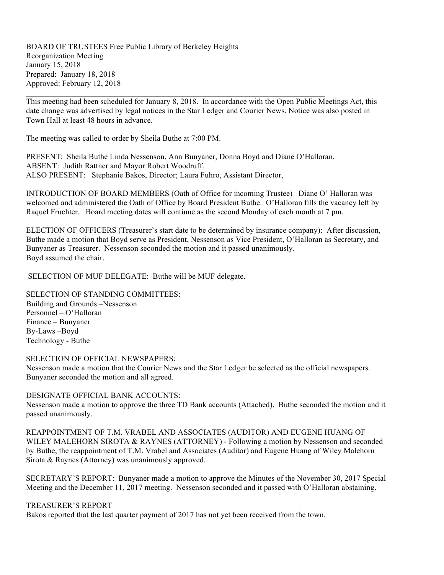BOARD OF TRUSTEES Free Public Library of Berkeley Heights Reorganization Meeting January 15, 2018 Prepared: January 18, 2018 Approved: February 12, 2018

This meeting had been scheduled for January 8, 2018. In accordance with the Open Public Meetings Act, this date change was advertised by legal notices in the Star Ledger and Courier News. Notice was also posted in Town Hall at least 48 hours in advance.

The meeting was called to order by Sheila Buthe at 7:00 PM.

PRESENT: Sheila Buthe Linda Nessenson, Ann Bunyaner, Donna Boyd and Diane O'Halloran. ABSENT: Judith Rattner and Mayor Robert Woodruff. ALSO PRESENT: Stephanie Bakos, Director; Laura Fuhro, Assistant Director,

 $\mathcal{L}_\text{max} = \frac{1}{2} \sum_{i=1}^{n} \frac{1}{2} \sum_{i=1}^{n} \frac{1}{2} \sum_{i=1}^{n} \frac{1}{2} \sum_{i=1}^{n} \frac{1}{2} \sum_{i=1}^{n} \frac{1}{2} \sum_{i=1}^{n} \frac{1}{2} \sum_{i=1}^{n} \frac{1}{2} \sum_{i=1}^{n} \frac{1}{2} \sum_{i=1}^{n} \frac{1}{2} \sum_{i=1}^{n} \frac{1}{2} \sum_{i=1}^{n} \frac{1}{2} \sum_{i=1}^{n} \frac{1$ 

INTRODUCTION OF BOARD MEMBERS (Oath of Office for incoming Trustee) Diane O' Halloran was welcomed and administered the Oath of Office by Board President Buthe. O'Halloran fills the vacancy left by Raquel Fruchter. Board meeting dates will continue as the second Monday of each month at 7 pm.

ELECTION OF OFFICERS (Treasurer's start date to be determined by insurance company): After discussion, Buthe made a motion that Boyd serve as President, Nessenson as Vice President, O'Halloran as Secretary, and Bunyaner as Treasurer. Nessenson seconded the motion and it passed unanimously. Boyd assumed the chair.

SELECTION OF MUF DELEGATE: Buthe will be MUF delegate.

SELECTION OF STANDING COMMITTEES:

Building and Grounds –Nessenson Personnel – O'Halloran Finance – Bunyaner By-Laws –Boyd Technology - Buthe

#### SELECTION OF OFFICIAL NEWSPAPERS:

Nessenson made a motion that the Courier News and the Star Ledger be selected as the official newspapers. Bunyaner seconded the motion and all agreed.

#### DESIGNATE OFFICIAL BANK ACCOUNTS:

Nessenson made a motion to approve the three TD Bank accounts (Attached). Buthe seconded the motion and it passed unanimously.

REAPPOINTMENT OF T.M. VRABEL AND ASSOCIATES (AUDITOR) AND EUGENE HUANG OF WILEY MALEHORN SIROTA & RAYNES (ATTORNEY) - Following a motion by Nessenson and seconded by Buthe, the reappointment of T.M. Vrabel and Associates (Auditor) and Eugene Huang of Wiley Malehorn Sirota & Raynes (Attorney) was unanimously approved.

SECRETARY'S REPORT: Bunyaner made a motion to approve the Minutes of the November 30, 2017 Special Meeting and the December 11, 2017 meeting. Nessenson seconded and it passed with O'Halloran abstaining.

# TREASURER'S REPORT

Bakos reported that the last quarter payment of 2017 has not yet been received from the town.